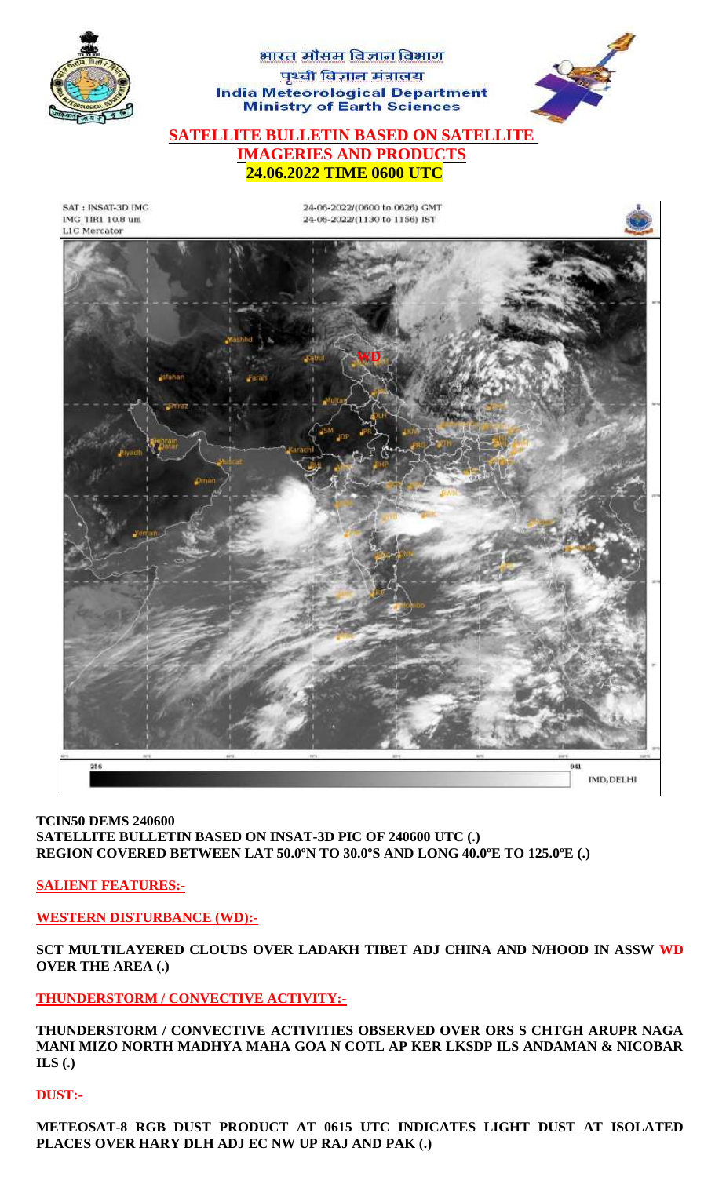

### **TCIN50 DEMS 240600 SATELLITE BULLETIN BASED ON INSAT-3D PIC OF 240600 UTC (.) REGION COVERED BETWEEN LAT 50.0ºN TO 30.0ºS AND LONG 40.0ºE TO 125.0ºE (.)**

**SALIENT FEATURES:-**

**WESTERN DISTURBANCE (WD):-**

**SCT MULTILAYERED CLOUDS OVER LADAKH TIBET ADJ CHINA AND N/HOOD IN ASSW WD OVER THE AREA (.)**

**THUNDERSTORM / CONVECTIVE ACTIVITY:-**

**THUNDERSTORM / CONVECTIVE ACTIVITIES OBSERVED OVER ORS S CHTGH ARUPR NAGA MANI MIZO NORTH MADHYA MAHA GOA N COTL AP KER LKSDP ILS ANDAMAN & NICOBAR ILS (.)**

# **DUST:-**

**METEOSAT-8 RGB DUST PRODUCT AT 0615 UTC INDICATES LIGHT DUST AT ISOLATED PLACES OVER HARY DLH ADJ EC NW UP RAJ AND PAK (.)**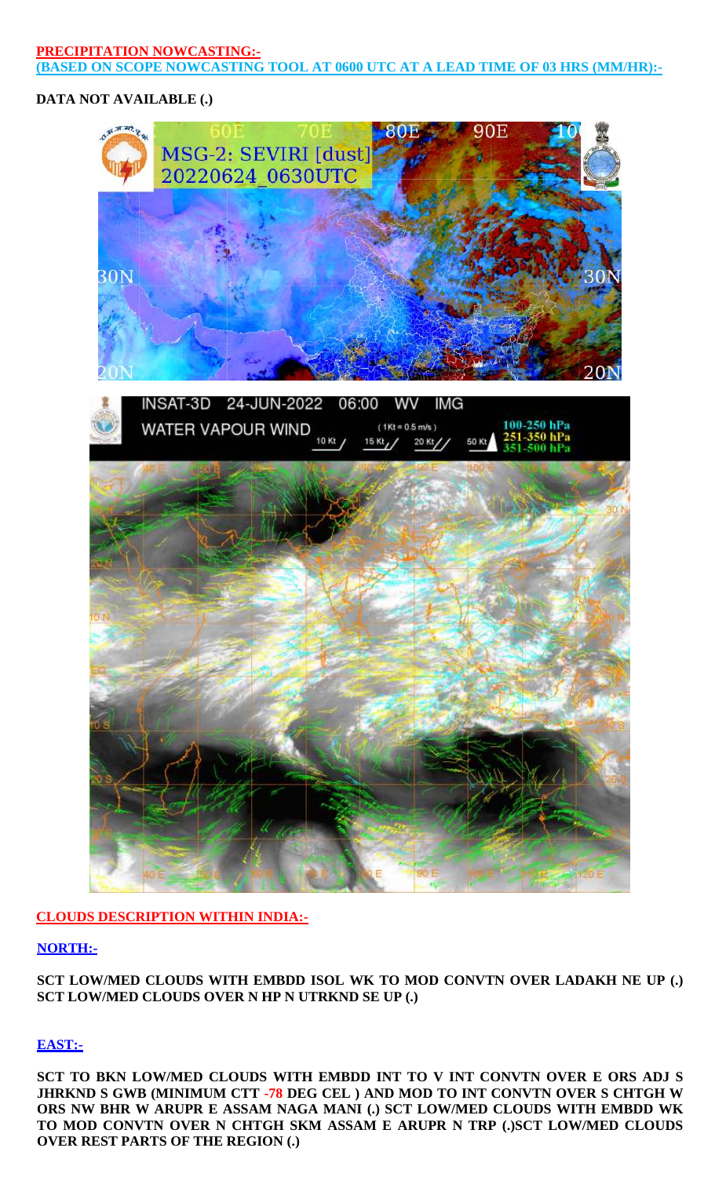### **PRECIPITATION NOWCASTING:- (BASED ON SCOPE NOWCASTING TOOL AT 0600 UTC AT A LEAD TIME OF 03 HRS (MM/HR):-**

## **DATA NOT AVAILABLE (.)**



## **CLOUDS DESCRIPTION WITHIN INDIA:-**

## **NORTH:-**

**SCT LOW/MED CLOUDS WITH EMBDD ISOL WK TO MOD CONVTN OVER LADAKH NE UP (.) SCT LOW/MED CLOUDS OVER N HP N UTRKND SE UP (.)**

## **EAST:-**

**SCT TO BKN LOW/MED CLOUDS WITH EMBDD INT TO V INT CONVTN OVER E ORS ADJ S JHRKND S GWB (MINIMUM CTT -78 DEG CEL ) AND MOD TO INT CONVTN OVER S CHTGH W ORS NW BHR W ARUPR E ASSAM NAGA MANI (.) SCT LOW/MED CLOUDS WITH EMBDD WK TO MOD CONVTN OVER N CHTGH SKM ASSAM E ARUPR N TRP (.)SCT LOW/MED CLOUDS OVER REST PARTS OF THE REGION (.)**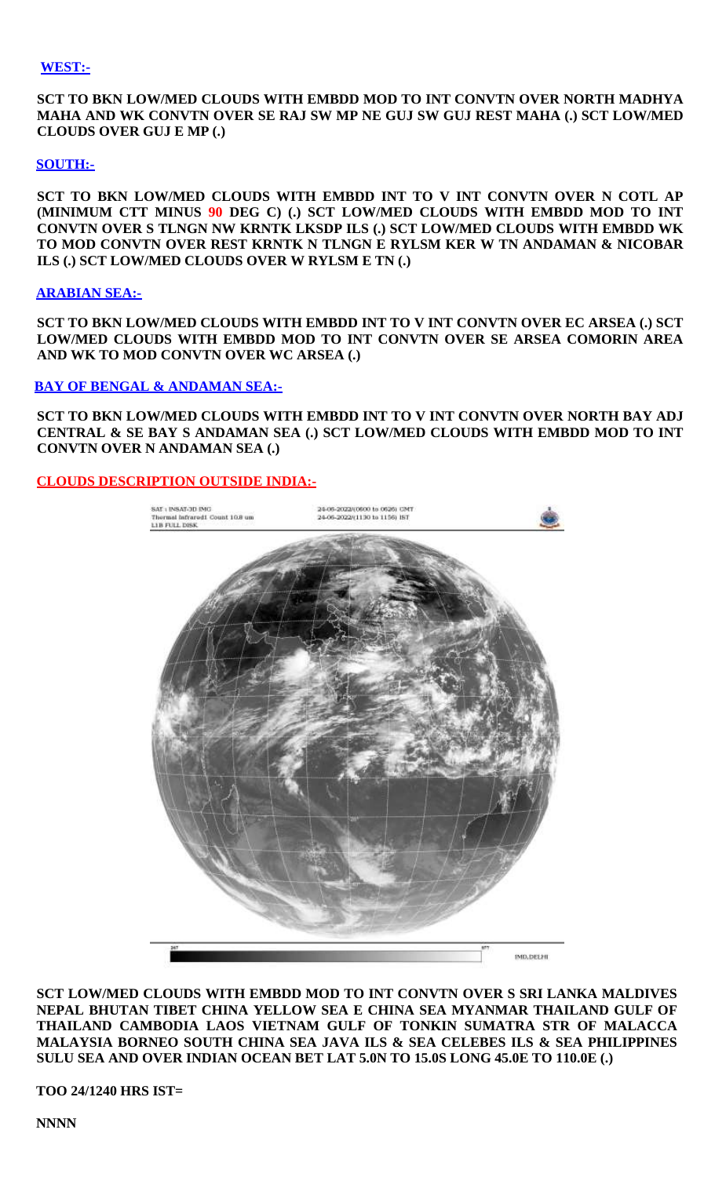#### **WEST:-**

**SCT TO BKN LOW/MED CLOUDS WITH EMBDD MOD TO INT CONVTN OVER NORTH MADHYA MAHA AND WK CONVTN OVER SE RAJ SW MP NE GUJ SW GUJ REST MAHA (.) SCT LOW/MED CLOUDS OVER GUJ E MP (.)**

#### **SOUTH:-**

**SCT TO BKN LOW/MED CLOUDS WITH EMBDD INT TO V INT CONVTN OVER N COTL AP (MINIMUM CTT MINUS 90 DEG C) (.) SCT LOW/MED CLOUDS WITH EMBDD MOD TO INT CONVTN OVER S TLNGN NW KRNTK LKSDP ILS (.) SCT LOW/MED CLOUDS WITH EMBDD WK TO MOD CONVTN OVER REST KRNTK N TLNGN E RYLSM KER W TN ANDAMAN & NICOBAR ILS (.) SCT LOW/MED CLOUDS OVER W RYLSM E TN (.)**

#### **ARABIAN SEA:-**

**SCT TO BKN LOW/MED CLOUDS WITH EMBDD INT TO V INT CONVTN OVER EC ARSEA (.) SCT LOW/MED CLOUDS WITH EMBDD MOD TO INT CONVTN OVER SE ARSEA COMORIN AREA AND WK TO MOD CONVTN OVER WC ARSEA (.)** 

### **BAY OF BENGAL & ANDAMAN SEA:-**

**SCT TO BKN LOW/MED CLOUDS WITH EMBDD INT TO V INT CONVTN OVER NORTH BAY ADJ CENTRAL & SE BAY S ANDAMAN SEA (.) SCT LOW/MED CLOUDS WITH EMBDD MOD TO INT CONVTN OVER N ANDAMAN SEA (.)**

### **CLOUDS DESCRIPTION OUTSIDE INDIA:-**



**SCT LOW/MED CLOUDS WITH EMBDD MOD TO INT CONVTN OVER S SRI LANKA MALDIVES NEPAL BHUTAN TIBET CHINA YELLOW SEA E CHINA SEA MYANMAR THAILAND GULF OF THAILAND CAMBODIA LAOS VIETNAM GULF OF TONKIN SUMATRA STR OF MALACCA MALAYSIA BORNEO SOUTH CHINA SEA JAVA ILS & SEA CELEBES ILS & SEA PHILIPPINES SULU SEA AND OVER INDIAN OCEAN BET LAT 5.0N TO 15.0S LONG 45.0E TO 110.0E (.)** 

**TOO 24/1240 HRS IST=**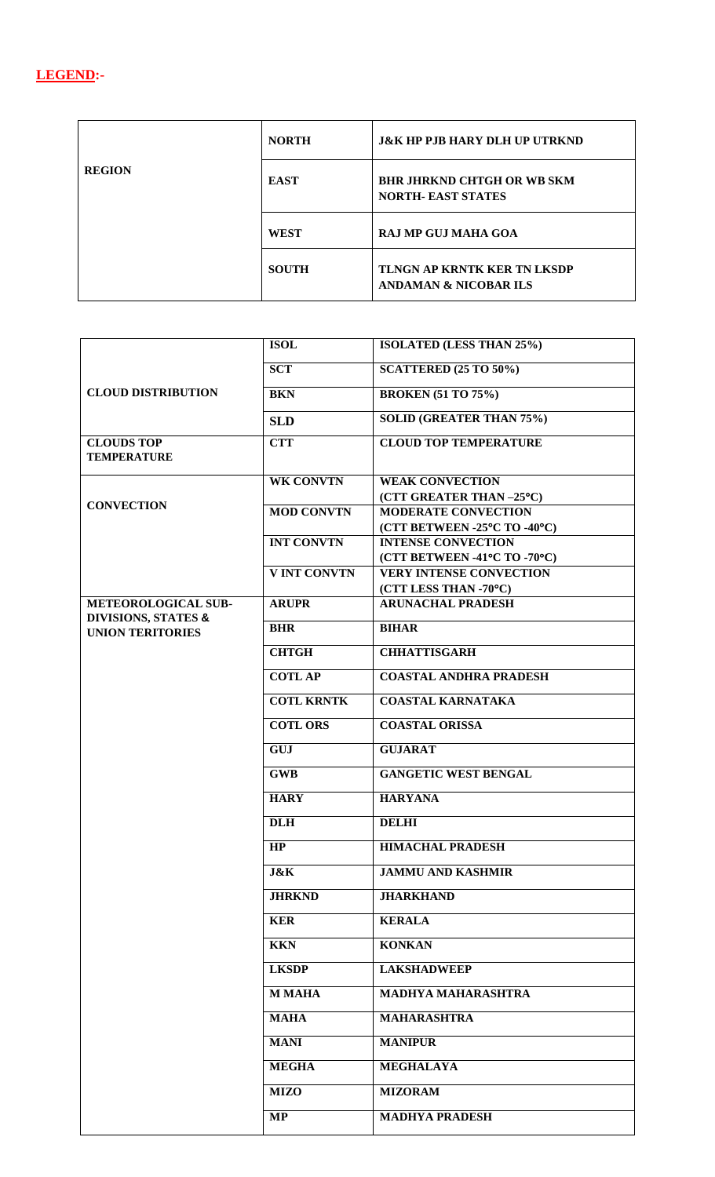

| <b>REGION</b> | <b>NORTH</b> | <b>J&amp;K HP PJB HARY DLH UP UTRKND</b>                               |
|---------------|--------------|------------------------------------------------------------------------|
|               | <b>EAST</b>  | <b>BHR JHRKND CHTGH OR WB SKM</b><br><b>NORTH- EAST STATES</b>         |
|               | <b>WEST</b>  | <b>RAJ MP GUJ MAHA GOA</b>                                             |
|               | <b>SOUTH</b> | <b>TLNGN AP KRNTK KER TN LKSDP</b><br><b>ANDAMAN &amp; NICOBAR ILS</b> |

| <b>CLOUD DISTRIBUTION</b> | <b>ISOL</b>         | <b>ISOLATED (LESS THAN 25%)</b>                   |
|---------------------------|---------------------|---------------------------------------------------|
|                           | <b>SCT</b>          | <b>SCATTERED (25 TO 50%)</b>                      |
|                           | <b>BKN</b>          | <b>BROKEN</b> (51 TO 75%)                         |
|                           | <b>SLD</b>          | <b>SOLID (GREATER THAN 75%)</b>                   |
| <b>CLOUDS TOP</b>         | <b>CTT</b>          | <b>CLOUD TOP TEMPERATURE</b>                      |
| <b>TEMPERATURE</b>        |                     |                                                   |
| <b>CONVECTION</b>         | <b>WK CONVTN</b>    | <b>WEAK CONVECTION</b>                            |
|                           |                     | (CTT GREATER THAN-25°C)                           |
|                           | <b>MOD CONVTN</b>   | <b>MODERATE CONVECTION</b>                        |
|                           |                     | (CTT BETWEEN -25°C TO -40°C)                      |
|                           | <b>INT CONVTN</b>   | <b>INTENSE CONVECTION</b>                         |
|                           |                     | (CTT BETWEEN -41°C TO -70°C)                      |
|                           | <b>V INT CONVTN</b> | <b>VERY INTENSE CONVECTION</b>                    |
| METEOROLOGICAL SUB-       | <b>ARUPR</b>        | (CTT LESS THAN -70°C)<br><b>ARUNACHAL PRADESH</b> |
| DIVISIONS, STATES &       |                     |                                                   |
| <b>UNION TERITORIES</b>   | <b>BHR</b>          | <b>BIHAR</b>                                      |
|                           | <b>CHTGH</b>        | <b>CHHATTISGARH</b>                               |
|                           | <b>COTLAP</b>       | <b>COASTAL ANDHRA PRADESH</b>                     |
|                           | <b>COTL KRNTK</b>   | <b>COASTAL KARNATAKA</b>                          |
|                           | <b>COTL ORS</b>     | <b>COASTAL ORISSA</b>                             |
|                           | <b>GUJ</b>          | <b>GUJARAT</b>                                    |
|                           | <b>GWB</b>          | <b>GANGETIC WEST BENGAL</b>                       |
|                           | <b>HARY</b>         | <b>HARYANA</b>                                    |
|                           | <b>DLH</b>          | <b>DELHI</b>                                      |
|                           | HP                  | <b>HIMACHAL PRADESH</b>                           |
|                           | J&K                 | <b>JAMMU AND KASHMIR</b>                          |
|                           | <b>JHRKND</b>       | <b>JHARKHAND</b>                                  |
|                           | <b>KER</b>          | <b>KERALA</b>                                     |
|                           | <b>KKN</b>          | <b>KONKAN</b>                                     |
|                           | <b>LKSDP</b>        | <b>LAKSHADWEEP</b>                                |
|                           | <b>M MAHA</b>       | MADHYA MAHARASHTRA                                |
|                           | <b>MAHA</b>         | <b>MAHARASHTRA</b>                                |
|                           | <b>MANI</b>         | <b>MANIPUR</b>                                    |
|                           | <b>MEGHA</b>        | <b>MEGHALAYA</b>                                  |
|                           | <b>MIZO</b>         | <b>MIZORAM</b>                                    |
|                           | <b>MP</b>           | <b>MADHYA PRADESH</b>                             |